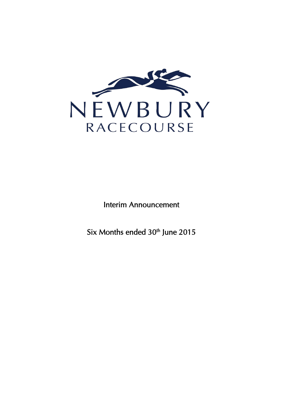

Interim Announcement

Six Months ended 30<sup>th</sup> June 2015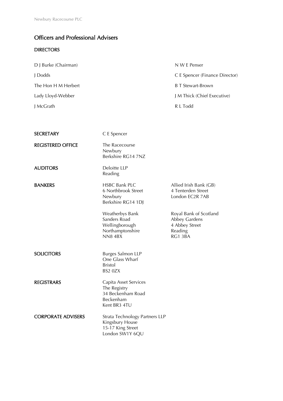### Officers and Professional Advisers

### **DIRECTORS**

| D J Burke (Chairman) | N W E Penser                   |
|----------------------|--------------------------------|
| J Dodds              | C E Spencer (Finance Director) |
| The Hon H M Herbert  | <b>B</b> T Stewart-Brown       |
| Lady Lloyd-Webber    | J M Thick (Chief Executive)    |
| J McGrath            | R L Todd                       |
|                      |                                |

| <b>SECRETARY</b>          | C E Spencer                                                                               |                                                                                 |
|---------------------------|-------------------------------------------------------------------------------------------|---------------------------------------------------------------------------------|
| <b>REGISTERED OFFICE</b>  | The Racecourse<br>Newbury<br>Berkshire RG14 7NZ                                           |                                                                                 |
| <b>AUDITORS</b>           | Deloitte LLP<br>Reading                                                                   |                                                                                 |
| <b>BANKERS</b>            | <b>HSBC Bank PLC</b><br>6 Northbrook Street<br>Newbury<br>Berkshire RG14 1DJ              | Allied Irish Bank (GB)<br>4 Tenterden Street<br>London EC2R 7AB                 |
|                           | Weatherbys Bank<br>Sanders Road<br>Wellingborough<br>Northamptonshire<br><b>NN8 4BX</b>   | Royal Bank of Scotland<br>Abbey Gardens<br>4 Abbey Street<br>Reading<br>RG1 3BA |
| <b>SOLICITORS</b>         | <b>Burges Salmon LLP</b><br>One Glass Wharf<br><b>Bristol</b><br>BS2 0ZX                  |                                                                                 |
| <b>REGISTRARS</b>         | Capita Asset Services<br>The Registry<br>34 Beckenham Road<br>Beckenham<br>Kent BR3 4TU   |                                                                                 |
| <b>CORPORATE ADVISERS</b> | Strata Technology Partners LLP<br>Kingsbury House<br>15-17 King Street<br>London SW1Y 6QU |                                                                                 |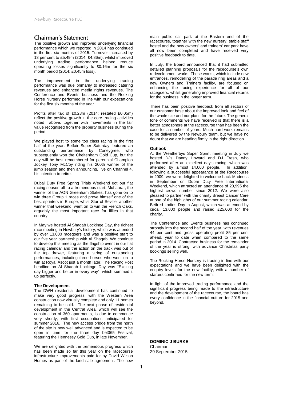#### Chairman's Statement

The positive growth and improved underlying financial performance which we reported in 2014 has continued in the first six months of 2015. Turnover increased by 13 per cent to £5.49m (2014: £4.86m), whilst improved underlying trading performance helped reduce operating losses significantly to £0.16m for the six month period (2014: £0.45m loss).

The improvement in the underlying trading performance was due primarily to increased catering revenues and enhanced media rights revenues. The Conference and Events business and the Rocking Horse Nursery performed in line with our expectations for the first six months of the year.

Profits after tax of £0.28m (2014: restated £0.05m) reflect the positive growth in the core trading activities noted above, together with movements in the fair value recognised from the property business during the period.

We played host to some top class racing in the first half of the year. Betfair Super Saturday featured an outstanding performance by Coneygree, who subsequently won the Cheltenham Gold Cup, but the day will be best remembered for perennial Champion Jockey Tony McCoy riding his 200th winner of the jump season and then announcing, live on Channel 4, his intention to retire.

Dubai Duty Free Spring Trials Weekend got our flat racing season off to a tremendous start. Muhaarar, the winner of the AON Greenham Stakes, has gone on to win three Group 1 races and prove himself one of the best sprinters in Europe, whist Star of Seville, another winner that weekend, went on to win the French Oaks, arguably the most important race for fillies in that country.

In May we hosted Al Shaqab Lockinge Day, the richest race meeting in Newbury's history, which was attended by over 13,000 racegoers and was a positive start to our five year partnership with Al Shaqab. We continue to develop this meeting as the flagship event in our flat racing calendar and the action on the track was out of the top drawer, featuring a string of outstanding performances, including three horses who went on to win at Royal Ascot just a month later. The Racing Post headline on Al Shaqab Lockinge Day was "Exciting day bigger and better in every way", which summed it up perfectly.

#### **The Development**

The DWH residential development has continued to make very good progress, with the Western Area construction now virtually complete and only 11 homes remaining to be sold. The next phase of residential development in the Central Area, which will see the construction of 360 apartments, is due to commence very shortly, with first occupations anticipated for summer 2016. The new access bridge from the north of the site is now well advanced and is expected to be open in time for the three day bet365 Festival, featuring the Hennessy Gold Cup, in late November.

We are delighted with the tremendous progress which has been made so far this year on the racecourse infrastructure improvements paid for by David Wilson Homes as part of the land sale agreement. The new

main public car park at the Eastern end of the racecourse, together with the new nursery, stable staff hostel and the new owners' and trainers' car park have all now been completed and have received very positive feedback to date.

In July, the Board announced that it had submitted detailed planning proposals for the racecourse's own redevelopment works. These works, which include new entrances, remodelling of the parade ring areas and a new Owners and Trainers facility, are focused on enhancing the racing experience for all of our racegoers, whilst generating improved financial returns for the business in the longer term.

There has been positive feedback from all sectors of our customer base about the improved look and feel of the whole site and our plans for the future. The general tone of comments we have received is that there is a better atmosphere at the racecourse than has been the case for a number of years. Much hard work remains to be delivered by the Newbury team, but we have no doubt that we are heading firmly in the right direction.

#### **Outlook**

At the Weatherbys Super Sprint meeting in July we hosted DJs Danny Howard and DJ Fresh, who performed after an excellent day's racing, which was attended by almost 14,000 people. In addition, following a successful appearance at the Racecourse in 2009, we were delighted to welcome back Madness in September on Dubai Duty Free International Weekend, which attracted an attendance of 20,995 the highest crowd number since 2012. We were also pleased to partner with the charity Breast Cancer Care at one of the highlights of our summer racing calendar, Betfred Ladies Day in August, which was attended by circa. 13,000 people and raised £25,000 for the charity.

The Conference and Events business has continued strongly into the second half of the year, with revenues 44 per cent and gross operating profit 85 per cent ahead, year to date when compared to the same period in 2014. Contracted business for the remainder of the year is strong, with advance Christmas party bookings selling well.

The Rocking Horse Nursery is trading in line with our expectations and we have been delighted with the enquiry levels for the new facility, with a number of starters confirmed for the new term.

In light of the improved trading performance and the significant progress being made to the infrastructure and the development of the racecourse, the board has every confidence in the financial outturn for 2015 and beyond.

**DOMINIC J BURKE**  Chairman 29 September 2015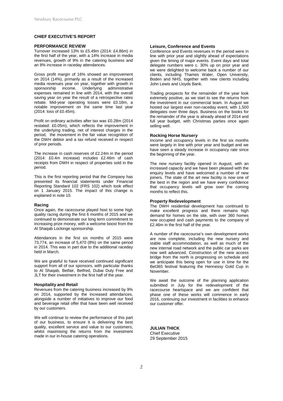#### **CHIEF EXECUTIVE'S REPORT**

#### **PERFORMANCE REVIEW**

Turnover increased 13% to £5.49m (2014: £4.86m) in the first half of the year, with a 14% increase in media revenues, growth of 9% in the catering business and an 8% increase in raceday attendances.

Gross profit margin of 16% showed an improvement on 2014 (14%), primarily as a result of the increased media revenues year on year, together with growth in<br>sponsorship income. Underlying administrative administrative expenses remained in line with 2014, with the overall saving year on year the result of a retrospective rates rebate. Mid-year operating losses were £0.16m, a notable improvement on the same time last year (2014: loss of £0.45m).

Profit on ordinary activities after tax was £0.28m (2014 restated: £0.05m), which reflects the improvement in the underlying trading, net of interest charges in the period, the movement in the fair value recognition of the DWH debtor and a tax refund received in respect of prior periods.

The increase in cash reserves of £2.24m in the period (2014: £0.4m increase) includes £2.46m of cash receipts from DWH in respect of properties sold in the period.

This is the first reporting period that the Company has presented its financial statements under Financial Reporting Standard 102 (FRS 102) which took effect on 1 January 2015. The impact of this change is explained in note 10.

#### **Racing**

Once again, the racecourse played host to some high quality racing during the first 6 months of 2015 and we continued to demonstrate our long term commitment to increasing prize money, with a welcome boost from the Al Shaqab Lockinge sponsorship.

Attendances in the first six months of 2015 were 73,774, an increase of 5,470 (8%) on the same period in 2014. This was in part due to the additional raceday held in March.

We are grateful to have received continued significant support from all of our sponsors, with particular thanks to Al Shaqab, Betfair, Betfred, Dubai Duty Free and JLT for their investment in the first half of the year.

#### **Hospitality and Retail**

Revenues from the catering business increased by 9% on 2014, supported by the increased attendances, alongside a number of initiatives to improve our food and beverage retail offer that have been well received by our customers.

We will continue to review the performance of this part of our business, to ensure it is delivering the best quality, excellent service and value to our customers, whilst maximising the returns from the investment made in our in-house catering operations.

#### **Leisure, Conference and Events**

Conference and Events revenues in the period were in line with prior year and slightly ahead of expectations given the timing of major events. Event days and total delegate numbers were c. 30% up on prior year and we were delighted to welcome back a number of our clients, including Thames Water, Open University, Boden and NHS, together with new clients including John Lewis and Lloyds Bank.

Trading prospects for the remainder of the year look extremely positive, as we start to see the returns from the investment in our commercial team. In August we hosted our largest ever non-raceday event, with 1,500 delegates over three days. Business on the books for the remainder of the year is already ahead of 2014 and full year budget, with Christmas parties once again selling well.

#### **Rocking Horse Nursery**

Income and occupancy levels in the first six months were largely in line with prior year and budget and we have seen a steady increase in occupancy rate since the beginning of the year.

The new nursery facility opened in August, with an increased capacity and we have been pleased with the enquiry levels and have welcomed a number of new joiners. The state of the art new facility is now one of the best in the region and we have every confidence that occupancy levels will grow over the coming months to reflect this.

#### **Property Redevelopment**

The DWH residential development has continued to make excellent progress and there remains high demand for homes on the site, with over 360 homes now occupied and cash payments to the company of £2.46m in the first half of the year.

A number of the racecourse's own development works are now complete, including the new nursery and stable staff accommodation, as well as much of the new internal road network and the public car parks are now well advanced. Construction of the new access bridge from the north is progressing on schedule and we anticipate this being open for use in time for the Bet365 festival featuring the Hennessy Gold Cup in November.

We await the outcome of the planning application submitted in July for the redevelopment of the racecourse heartspace and we are confident that phase one of these works will commence in early 2016, continuing our investment in facilities to enhance our customer offer.

**JULIAN THICK** Chief Executive 29 September 2015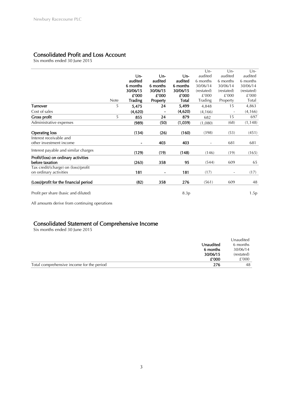### Consolidated Profit and Loss Account

Six months ended 30 June 2015

|                                        |             |                |          |          | $Un-$                    | $Un-$                    | $Un-$      |
|----------------------------------------|-------------|----------------|----------|----------|--------------------------|--------------------------|------------|
|                                        |             | $Un-$          | $Un-$    | Un-      | audited                  | audited                  | audited    |
|                                        |             | audited        | audited  | audited  | 6 months                 | 6 months                 | 6 months   |
|                                        |             | 6 months       | 6 months | 6 months | 30/06/14                 | 30/06/14                 | 30/06/14   |
|                                        |             | 30/06/15       | 30/06/15 | 30/06/15 | (restated)               | (restated)               | (restated) |
|                                        |             | £'000          | £'000    | £'000    | £'000                    | £'000                    | £'000      |
|                                        | <b>Note</b> | <b>Trading</b> | Property | Total    | Trading                  | Property                 | Total      |
| <b>Turnover</b>                        | 5           | 5,475          | 24       | 5,499    | 4,848                    | 15                       | 4,863      |
| Cost of sales                          |             | (4,620)        |          | (4,620)  | (4, 166)                 |                          | (4, 166)   |
| <b>Gross profit</b>                    | 5           | 855            | 24       | 879      | 682                      | 15                       | 697        |
| Administrative expenses                |             | (989)          | (50)     | (1,039)  | (1,080)                  | (68)                     | (1, 148)   |
| <b>Operating loss</b>                  |             | (134)          | (26)     | (160)    | (398)                    | (53)                     | (451)      |
| Interest receivable and                |             |                |          |          |                          |                          |            |
| other investment income                |             | $\blacksquare$ | 403      | 403      | $\overline{\phantom{a}}$ | 681                      | 681        |
| Interest payable and similar charges   |             | (129)          | (19)     | (148)    | (146)                    | (19)                     | (165)      |
| Profit/(loss) on ordinary activities   |             |                |          |          |                          |                          |            |
| before taxation                        |             | (263)          | 358      | 95       | (544)                    | 609                      | 65         |
| Tax credit/(charge) on (loss)/profit   |             |                |          |          |                          |                          |            |
| on ordinary activities                 |             | 181            |          | 181      | (17)                     | $\overline{\phantom{a}}$ | (17)       |
| (Loss)/profit for the financial period |             | (82)           | 358      | 276      | (561)                    | 609                      | 48         |
| Profit per share (basic and diluted)   |             |                |          | 8.3p     |                          |                          | 1.5p       |

All amounts derive from continuing operations

# Consolidated Statement of Comprehensive Income Six months ended 30 June 2015

|                                           |           | Unaudited  |
|-------------------------------------------|-----------|------------|
|                                           | Unaudited | 6 months   |
|                                           | 6 months  | 30/06/14   |
|                                           | 30/06/15  | (restated) |
|                                           | £'000     | £'000      |
| Total comprehensive income for the period | 276       | 48         |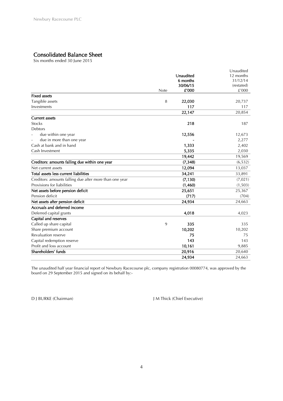# Consolidated Balance Sheet Six months ended 30 June 2015

|                                                         |      |           | Unaudited  |
|---------------------------------------------------------|------|-----------|------------|
|                                                         |      | Unaudited | 12 months  |
|                                                         |      | 6 months  | 31/12/14   |
|                                                         |      | 30/06/15  | (restated) |
|                                                         | Note | £'000     | £'000      |
| <b>Fixed assets</b>                                     |      |           |            |
| Tangible assets                                         | 8    | 22,030    | 20,737     |
| Investments                                             |      | 117       | 117        |
|                                                         |      | 22,147    | 20,854     |
| <b>Current assets</b>                                   |      |           |            |
| <b>Stocks</b>                                           |      | 218       | 187        |
| <b>Debtors</b>                                          |      |           |            |
| due within one year                                     |      | 12,556    | 12,673     |
| due in more than one year                               |      |           | 2,277      |
| Cash at bank and in hand                                |      | 1,333     | 2,402      |
| Cash Investment                                         |      | 5,335     | 2,030      |
|                                                         |      | 19,442    | 19,569     |
| Creditors: amounts falling due within one year          |      | (7, 348)  | (6, 532)   |
| Net current assets                                      |      | 12,094    | 13,037     |
| Total assets less current liabilities                   |      | 34,241    | 33,891     |
| Creditors: amounts falling due after more than one year |      | (7, 130)  | (7,021)    |
| Provisions for liabilities                              |      | (1,460)   | (1,503)    |
| Net assets before pension deficit                       |      | 25,651    | 25,367     |
| Pension deficit                                         |      | (717)     | (704)      |
| Net assets after pension deficit                        |      | 24,934    | 24,663     |
| Accruals and deferred income                            |      |           |            |
| Deferred capital grants                                 |      | 4,018     | 4,023      |
| Capital and reserves                                    |      |           |            |
| Called up share capital                                 | 9    | 335       | 335        |
| Share premium account                                   |      | 10,202    | 10,202     |
| Revaluation reserve                                     |      | 75        | 75         |
| Capital redemption reserve                              |      | 143       | 143        |
| Profit and loss account                                 |      | 10,161    | 9,885      |
| Shareholders' funds                                     |      | 20,916    | 20,640     |
|                                                         |      | 24,934    | 24,663     |

The unaudited half year financial report of Newbury Racecourse plc, company registration 00080774, was approved by the board on 29 September 2015 and signed on its behalf by:-

D J BURKE (Chairman) J M Thick (Chief Executive)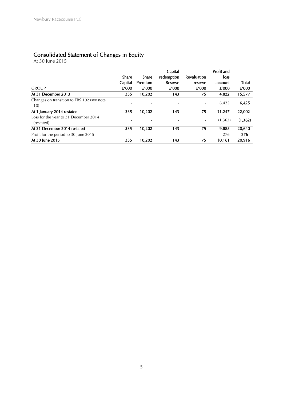### Consolidated Statement of Changes in Equity

At 30 June 2015

|                                                     | Share   | Share   | Capital<br>redemption | Revaluation | Profit and<br>loss |          |
|-----------------------------------------------------|---------|---------|-----------------------|-------------|--------------------|----------|
|                                                     | Capital | Premium | Reserve               | reserve     | account            | Total    |
| <b>GROUP</b>                                        | £'000   | £'000   | £'000                 | £'000       | £'000              | £'000    |
| At 31 December 2013                                 | 335     | 10,202  | 143                   | 75          | 4,822              | 15,577   |
| Changes on transition to FRS 102 (see note<br>10)   |         |         |                       |             | 6,425              | 6,425    |
| At 1 January 2014 restated                          | 335     | 10,202  | 143                   | 75          | 11,247             | 22,002   |
| Loss for the year to 31 December 2014<br>(restated) |         |         |                       |             | (1,362)            | (1, 362) |
| At 31 December 2014 restated                        | 335     | 10,202  | 143                   | 75          | 9,885              | 20,640   |
| Profit for the period to 30 June 2015               |         |         |                       |             | 276                | 276      |
| At 30 June 2015                                     | 335     | 10.202  | 143                   | 75          | 10.161             | 20,916   |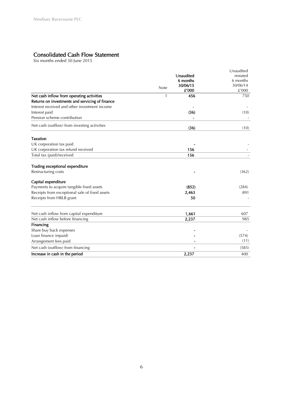# Consolidated Cash Flow Statement Six months ended 30 June 2015

|                                                 |                  | Unaudited |
|-------------------------------------------------|------------------|-----------|
|                                                 | Unaudited        | restated  |
|                                                 | 6 months         | 6 months  |
|                                                 | 30/06/15<br>Note | 30/06/14  |
|                                                 | £'000            | £'000     |
| Net cash inflow from operating activities       | 456<br>1         | 750       |
| Returns on investments and servicing of finance |                  |           |
| Interest received and other investment income   |                  |           |
| Interest paid                                   | (36)             | (10)      |
| Pension scheme contribution                     |                  |           |
| Net cash (outflow) from investing activities    | (36)             | (10)      |
|                                                 |                  |           |
| <b>Taxation</b>                                 |                  |           |
| UK corporation tax paid                         |                  |           |
| UK corporation tax refund received              | 156              |           |
| Total tax (paid)/received                       | 156              |           |
| Trading exceptional expenditure                 |                  |           |
| Restructuring costs                             |                  | (362)     |
| Capital expenditure                             |                  |           |
| Payments to acquire tangible fixed assets       | (852)            | (284)     |
| Receipts from exceptional sale of fixed assets  | 2,463            | 891       |
| Receipts from HBLB grant                        | 50               |           |
|                                                 |                  |           |
| Net cash inflow from capital expenditure        | 1,661<br>2,237   | 607       |
| Net cash inflow before financing                |                  | 985       |
| Financing                                       |                  |           |
| Share buy back expenses                         |                  |           |
| Loan finance (repaid)                           |                  | (574)     |
| Arrangement fees paid                           |                  | (11)      |
| Net cash (outflow) from financing               |                  | (585)     |
| Increase in cash in the period                  | 2,237            | 400       |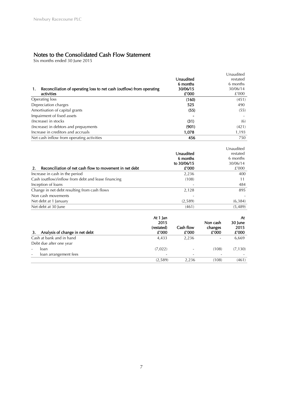# Notes to the Consolidated Cash Flow Statement Six months ended 30 June 2015

|                                                                             |           | Unaudited |
|-----------------------------------------------------------------------------|-----------|-----------|
|                                                                             | Unaudited | restated  |
|                                                                             | 6 months  | 6 months  |
| Reconciliation of operating loss to net cash (outflow) from operating<br>1. | 30/06/15  | 30/06/14  |
| activities                                                                  | £'000     | £'000     |
| Operating loss                                                              | (160)     | (451)     |
| Depreciation charges                                                        | 525       | 490       |
| Amortisation of capital grants                                              | (55)      | (55)      |
| Impairment of fixed assets                                                  |           |           |
| (Increase) in stocks                                                        | (31)      | (6)       |
| (Increase) in debtors and prepayments                                       | (901)     | (421)     |
| Increase in creditors and accruals                                          | 1,078     | 1,193     |
| Net cash inflow from operating activities                                   | 456       | 750       |

|                                                               |             | Unaudited |
|---------------------------------------------------------------|-------------|-----------|
|                                                               | Unaudited   | restated  |
|                                                               | 6 months    | 6 months  |
|                                                               | to 30/06/15 | 30/06/14  |
| Reconciliation of net cash flow to movement in net debt<br>2. | £'000       | £'000     |
| Increase in cash in the period                                | 2,236       | 400       |
| Cash (outflow)/inflow from debt and lease financing           | (108)       | 11        |
| Inception of loans                                            |             | 484       |
| Change in net debt resulting from cash flows                  | 2,128       | 895       |
| Non cash movements                                            |             |           |
| Net debt at 1 January                                         | (2,589)     | (6,384)   |
| Net debt at 30 June                                           | (461)       | (5,489)   |

| Analysis of change in net debt                    | At 1 Jan<br>2015<br>(restated)<br>£'000 | Cash flow<br>£'000       | Non cash<br>changes<br>£'000 | At<br>30 June<br>2015<br>£'000 |
|---------------------------------------------------|-----------------------------------------|--------------------------|------------------------------|--------------------------------|
| Cash at bank and in hand                          | 4,433                                   | 2,236                    | $\overline{\phantom{a}}$     | 6,669                          |
| Debt due after one year                           |                                         |                          |                              |                                |
| loan<br>$\overline{\phantom{a}}$                  | (7,022)                                 | $\overline{\phantom{a}}$ | (108)                        | (7, 130)                       |
| loan arrangement fees<br>$\overline{\phantom{a}}$ |                                         | -                        |                              |                                |
|                                                   | (2,589)                                 | 2,236                    | (108)                        | (461)                          |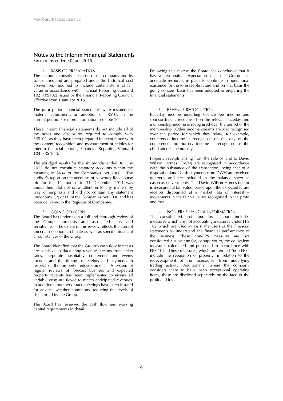### Notes to the Interim Financial Statements<br>Six months ended 30 June 2015

#### 1. BASIS OF PREPARATION

The accounts consolidate those of the company and its subsidiaries and are prepared under the historical cost convention, modified to include certain items at fair value in accordance with Financial Reporting Standard 102 (FRS102) issued by the Financial Reporting Council, effective from 1 January 2015.

The prior period financial statements were restated for material adjustments on adoption of FRS102 in the current period. For more information see note 10.

These interim financial statements do not include all of the notes and disclosures required to comply with FRS102, as they have been prepared in accordance with the content, recognition and measurement principles for interim financial reports, Financial Reporting Standard 104 (FRS 104).

The abridged results for the six months ended 30 June 2015 do not constitute statutory accounts within the meaning of S434 of the Companies Act 2006. The auditor's report on the accounts of Newbury Racecourse plc for the 12 months to 31 December 2014 was unqualified, did not draw attention to any matters by way of emphasis and did not contain any statement under S498 (2) or (3) of the Companies Act 2006 and has been delivered to the Registrar of Companies.

#### 2. GOING CONCERN

The Board has undertaken a full and thorough review of the Group's forecasts and associated risks and sensitivities. The extent of this review reflects the current uncertain economic climate as well as specific financial circumstances of the Group.

The Board identified that the Group's cash flow forecasts are sensitive to fluctuating revenue streams from ticket sales, corporate hospitality, conference and events income and the timing of receipts and payments in respect of the property redevelopment. A system of regular reviews of forecast business and expected property receipts has been implemented to ensure all variable costs are flexed to match anticipated revenues. In addition a number of race meetings have been insured for adverse weather conditions, reducing the levels of risk carried by the Group.

The Board has reviewed the cash flow and working capital requirements in detail.

Following this review the Board has concluded that it has a reasonable expectation that the Group has adequate resources in place to continue in operational existence for the foreseeable future and on that basis the going concern basis has been adopted in preparing the financial statements.

#### 3. REVENUE RECOGNITION

Raceday income including licence fee income and sponsorship, is recognised on the relevant raceday and membership income is recognised over the period of the membership. Other income streams are also recognised over the period for which they relate, for example, conference income is recognised on the day of the conference and nursery income is recognised as the child attends the nursery.

Property receipts arising from the sale of land to David Wilson Homes (DWH) are recognised in accordance with the substance of the transaction, being that of a disposal of land. Cash payments from DWH are received quarterly and are included in the balance sheet as cash/cash investments. The David Wilson Homes debtor is measured at fair value, based upon the expected future receipts discounted at a market rate of interest movements in the fair value are recognised in the profit and loss.

#### 4. NON FRS FINANCIAL INFORMATION

The consolidated profit and loss account includes measures which are not accounting measures under FRS 102 which are used to assist the users of the financial statements to understand the financial performance of the business. These non-FRS measures are not considered a substitute for, or superior to, the equivalent measures calculated and presented in accordance with FRS 102. These measures, which are termed "non-FRS" include the separation of property, in relation to the redevelopment of the racecourse, from underlying trading activity. Additionally, where the company considers there to have been exceptional operating items, these are disclosed separately on the face of the profit and loss.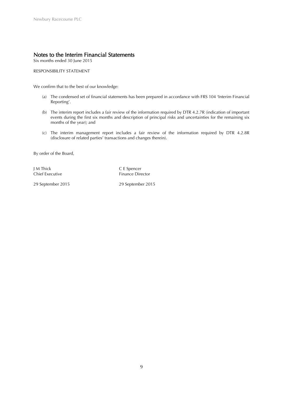## Notes to the Interim Financial Statements<br>Six months ended 30 June 2015

RESPONSIBILITY STATEMENT

We confirm that to the best of our knowledge:

- (a) The condensed set of financial statements has been prepared in accordance with FRS 104 'Interim Financial Reporting'.
- (b) The interim report includes a fair review of the information required by DTR 4.2.7R (indication of important events during the first six months and description of principal risks and uncertainties for the remaining six months of the year); and
- (c) The interim management report includes a fair review of the information required by DTR 4.2.8R (disclosure of related parties' transactions and changes therein).

By order of the Board,

J M Thick C E Spencer

Chief Executive Finance Director

29 September 2015 29 September 2015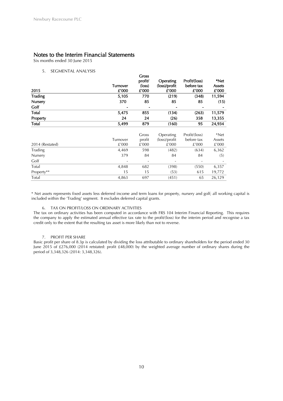### Notes to the Interim Financial Statements<br>Six months ended 30 June 2015

#### 5. SEGMENTAL ANALYSIS

| 2015            | <b>Turnover</b><br>£'000 | <b>Gross</b><br>profit/<br>(loss)<br>£'000 | Operating<br>(loss)/profit<br>£'000 | Profit/(loss)<br>before tax<br>£'000 | *Net<br>Assets<br>£'000 |
|-----------------|--------------------------|--------------------------------------------|-------------------------------------|--------------------------------------|-------------------------|
| <b>Trading</b>  | 5,105                    | 770                                        | (219)                               | (348)                                | 11,594                  |
| Nursery         | 370                      | 85                                         | 85                                  | 85                                   | (15)                    |
| Golf            |                          |                                            |                                     |                                      |                         |
| Total           | 5,475                    | 855                                        | (134)                               | (263)                                | 11,579                  |
| Property        | 24                       | 24                                         | (26)                                | 358                                  | 13,355                  |
| Total           | 5,499                    | 879                                        | (160)                               | 95                                   | 24,934                  |
|                 | Turnover                 | Gross<br>profit                            | Operating<br>(loss)/profit          | Profit/(loss)<br>before tax          | *Net<br>Assets          |
| 2014 (Restated) | £'000                    | £'000                                      | £'000                               | £'000                                | £'000                   |
| Trading         | 4,469                    | 598                                        | (482)                               | (634)                                | 6,362                   |
| Nursery         | 379                      | 84                                         | 84                                  | 84                                   | (5)                     |
| Golf            |                          |                                            |                                     |                                      |                         |
| Total           | 4,848                    | 682                                        | (398)                               | (550)                                | 6,357                   |
| Property**      | 15                       | 15                                         | (53)                                | 615                                  | 19,772                  |
| Total           | 4,863                    | 697                                        | (451)                               | 65                                   | 26,129                  |

\* Net assets represents fixed assets less deferred income and term loans for property, nursery and golf; all working capital is included within the 'Trading' segment. It excludes deferred capital grants.

#### 6. TAX ON PROFIT/LOSS ON ORDINARY ACTIVITIES

The tax on ordinary activities has been computed in accordance with FRS 104 Interim Financial Reporting. This requires the company to apply the estimated annual effective tax rate to the profit/(loss) for the interim period and recognise a tax credit only to the extent that the resulting tax asset is more likely than not to reverse.

#### 7. PROFIT PER SHARE

Basic profit per share of 8.3p is calculated by dividing the loss attributable to ordinary shareholders for the period ended 30 June 2015 of £276,000 (2014 retstated: profit £48,000) by the weighted average number of ordinary shares during the period of 3,348,326 (2014: 3,348,326).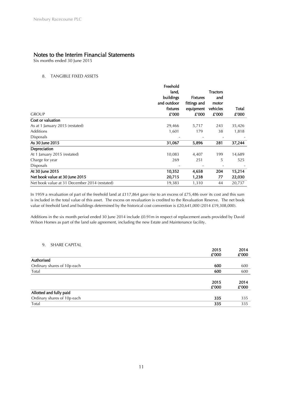## Notes to the Interim Financial Statements Six months ended 30 June 2015

#### 8. TANGIBLE FIXED ASSETS

|                                               | Freehold    |                 |                 |        |
|-----------------------------------------------|-------------|-----------------|-----------------|--------|
|                                               | land,       |                 | <b>Tractors</b> |        |
|                                               | buildings   | <b>Fixtures</b> | and             |        |
|                                               | and outdoor | fittings and    | motor           |        |
|                                               | fixtures    | equipment       | vehicles        | Total  |
| <b>GROUP</b>                                  | £'000       | £'000           | £'000           | £'000  |
| Cost or valuation                             |             |                 |                 |        |
| As at 1 January 2015 (restated)               | 29,466      | 5,717           | 243             | 35,426 |
| Additions                                     | 1,601       | 179             | 38              | 1,818  |
| <b>Disposals</b>                              |             |                 |                 |        |
| As 30 June 2015                               | 31,067      | 5,896           | 281             | 37,244 |
| Depreciation                                  |             |                 |                 |        |
| At 1 January 2015 (restated)                  | 10,083      | 4,407           | 199             | 14,689 |
| Charge for year                               | 269         | 251             | 5               | 525    |
| <b>Disposals</b>                              |             |                 |                 |        |
| At 30 June 2015                               | 10,352      | 4,658           | 204             | 15,214 |
| Net book value at 30 June 2015                | 20,715      | 1,238           | 77              | 22,030 |
| Net book value at 31 December 2014 (restated) | 19,383      | 1,310           | 44              | 20,737 |

In 1959 a revaluation of part of the freehold land at £117,864 gave rise to an excess of £75,486 over its cost and this sum is included in the total value of this asset. The excess on revaluation is credited to the Revaluation Reserve. The net book value of freehold land and buildings determined by the historical cost convention is £20,641,000 (2014 £19,308,000).

 Additions in the six month period ended 30 June 2014 include £0.91m in respect of replacement assets provided by David Wilson Homes as part of the land sale agreement, including the new Estate and Maintenance facility.

#### 9. SHARE CAPITAL

| <u>.</u>                    |       |       |
|-----------------------------|-------|-------|
|                             | 2015  | 2014  |
|                             | £'000 | £'000 |
| Authorised                  |       |       |
| Ordinary shares of 10p each | 600   | 600   |
| Total                       | 600   | 600   |
|                             |       |       |
|                             | 2015  | 2014  |
|                             | £'000 | £'000 |
| Allotted and fully paid     |       |       |
| Ordinary shares of 10p each | 335   | 335   |
| Total                       | 335   | 335   |
|                             |       |       |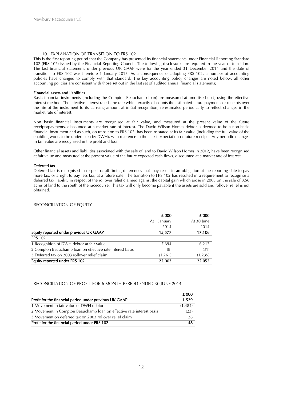#### 10. EXPLANATION OF TRANSITION TO FRS 102

This is the first reporting period that the Company has presented its financial statements under Financial Reporting Standard 102 (FRS 102) issued by the Financial Reporting Council. The following disclosures are required in the year of transition. The last financial statements under previous UK GAAP were for the year ended 31 December 2014 and the date of transition to FRS 102 was therefore 1 January 2015. As a consequence of adopting FRS 102, a number of accounting policies have changed to comply with that standard. The key accounting policy changes are noted below, all other accounting policies are consistent with those set out in the last set of audited annual financial statements;

#### Financial assets and liabilities

Basic financial instruments (including the Compton Beauchamp loan) are measured at amortised cost, using the effective interest method. The effective interest rate is the rate which exactly discounts the estimated future payments or receipts over the life of the instrument to its carrying amount at initial recognition, re-estimated periodically to reflect changes in the market rate of interest.

Non basic financial instruments are recognised at fair value, and measured at the present value of the future receipts/payments, discounted at a market rate of interest. The David Wilson Homes debtor is deemed to be a non-basic financial instrument and as such, on transition to FRS 102, has been re-stated at its fair value (including the full value of the enabling works to be undertaken by DWH), with reference to the latest expectation of future receipts. Any periodic changes in fair value are recognised in the profit and loss.

Other financial assets and liabilities associated with the sale of land to David Wilson Homes in 2012, have been recognised at fair value and measured at the present value of the future expected cash flows, discounted at a market rate of interest.

#### Deferred tax

Deferred tax is recognised in respect of all timing differences that may result in an obligation at the reporting date to pay more tax, or a right to pay less tax, at a future date. The transition to FRS 102 has resulted in a requirement to recognise a deferred tax liability in respect of the rollover relief claimed against the capital gain which arose in 2003 on the sale of 8.56 acres of land to the south of the racecourse. This tax will only become payable if the assets are sold and rollover relief is not obtained.

#### RECONCILIATION OF EQUITY

|                                                           | £'000        | £'000      |
|-----------------------------------------------------------|--------------|------------|
|                                                           | At 1 January | At 30 June |
|                                                           | 2014         | 2014       |
| Equity reported under previous UK GAAP                    | 15,577       | 17,106     |
| <b>FRS 102</b>                                            |              |            |
| 1 Recognition of DWH debtor at fair value                 | 7.694        | 6,212      |
| 2 Compton Beauchamp loan on effective rate interest basis | (8)          | (31)       |
| 3 Deferred tax on 2003 rollover relief claim              | (1,261)      | (1,235)    |
| Equity reported under FRS 102                             | 22,002       | 22,052     |

#### RECONCILIATION OF PROFIT FOR 6 MONTH PERIOD ENDED 30 JUNE 2014

|                                                                       | £'000   |
|-----------------------------------------------------------------------|---------|
| Profit for the financial period under previous UK GAAP                | 1,529   |
| 1 Movement in fair value of DWH debtor                                | (1,484) |
| 2 Movement in Compton Beauchamp loan on effective rate interest basis | (23)    |
| 3 Movement on deferred tax on 2003 rollover relief claim              | 26      |
| Profit for the financial period under FRS 102                         | 48      |